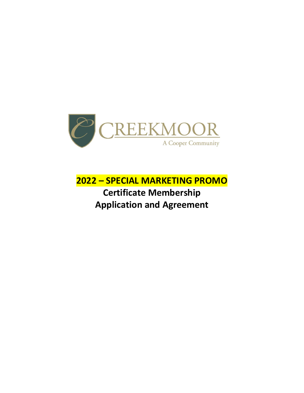

**2022 – SPECIAL MARKETING PROMO Certificate Membership Application and Agreement**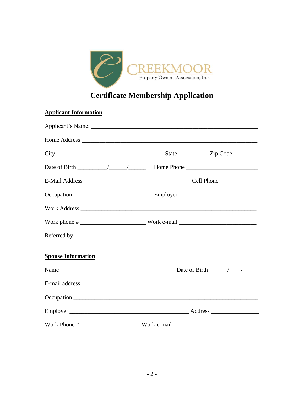

## **Certificate Membership Application**

| <b>Applicant Information</b> |                                                                                  |
|------------------------------|----------------------------------------------------------------------------------|
|                              |                                                                                  |
|                              |                                                                                  |
|                              |                                                                                  |
|                              |                                                                                  |
|                              |                                                                                  |
|                              | Occupation ________________________________Employer_____________________________ |
|                              |                                                                                  |
|                              |                                                                                  |
|                              |                                                                                  |
| <b>Spouse Information</b>    |                                                                                  |
|                              |                                                                                  |
|                              |                                                                                  |
|                              |                                                                                  |
|                              |                                                                                  |
|                              |                                                                                  |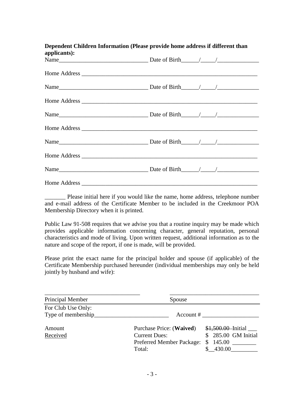| Dependent Children Information (Please provide home address if different than<br>applicants): |  |  |  |
|-----------------------------------------------------------------------------------------------|--|--|--|
|                                                                                               |  |  |  |
|                                                                                               |  |  |  |
|                                                                                               |  |  |  |
|                                                                                               |  |  |  |
|                                                                                               |  |  |  |
|                                                                                               |  |  |  |
|                                                                                               |  |  |  |
|                                                                                               |  |  |  |
|                                                                                               |  |  |  |
|                                                                                               |  |  |  |

Please initial here if you would like the name, home address, telephone number and e-mail address of the Certificate Member to be included in the Creekmoor POA Membership Directory when it is printed.

Public Law 91-508 requires that we advise you that a routine inquiry may be made which provides applicable information concerning character, general reputation, personal characteristics and mode of living. Upon written request, additional information as to the nature and scope of the report, if one is made, will be provided.

Please print the exact name for the principal holder and spouse (if applicable) of the Certificate Membership purchased hereunder (individual memberships may only be held jointly by husband and wife):

| Principal Member   | Spouse                           |                      |
|--------------------|----------------------------------|----------------------|
| For Club Use Only: |                                  |                      |
| Type of membership | Account $#$                      |                      |
| Amount             | Purchase Price: (Waived)         | \$1,500.00 Initial   |
| Received           | <b>Current Dues:</b>             | \$ 285.00 GM Initial |
|                    | <b>Preferred Member Package:</b> | 145.00<br>\$         |
|                    | Total:                           | 430.00               |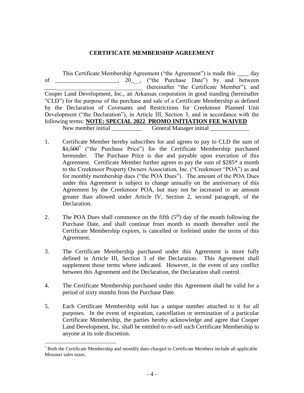## **CERTIFICATE MEMBERSHIP AGREEMENT**

This Certificate Membership Agreement ("the Agreement") is made this \_\_\_\_ day of 20, 20, ("the Purchase Date") by and between \_\_\_\_\_\_\_\_\_\_\_\_\_\_\_\_\_\_\_\_\_\_\_\_\_\_\_\_\_\_\_\_\_ (hereinafter "the Certificate Member"), and Cooper Land Development, Inc., an Arkansas corporation in good standing (hereinafter "CLD") for the purpose of the purchase and sale of a Certificate Membership as defined by the Declaration of Covenants and Restrictions for Creekmoor Planned Unit Development ("the Declaration"), in Article III, Section 3, and in accordance with the following terms: **NOTE: SPECIAL 2022 PROMO INITIATION FEE WAIVED** New member initial \_\_\_\_\_\_\_\_\_\_\_\_\_\_\_\_\_\_\_\_\_General Manager initial

- 1. Certificate Member hereby subscribes for and agrees to pay to CLD the sum of \$1,500<sup>\*</sup> ("the Purchase Price") for the Certificate Membership purchased hereunder. The Purchase Price is due and payable upon execution of this Agreement. Certificate Member further agrees to pay the sum of \$285\* a month to the Creekmoor Property Owners Association, Inc. ("Creekmoor "POA") as and for monthly membership dues ("the POA Dues"). The amount of the POA Dues under this Agreement is subject to change annually on the anniversary of this Agreement by the Creekmoor POA, but may not be increased to an amount greater than allowed under Article IV, Section 2, second paragraph, of the Declaration.
- 2. The POA Dues shall commence on the fifth  $(5<sup>th</sup>)$  day of the month following the Purchase Date, and shall continue from month to month thereafter until the Certificate Membership expires, is cancelled or forfeited under the terms of this Agreement.
- 3. The Certificate Membership purchased under this Agreement is more fully defined in Article III, Section 3 of the Declaration. This Agreement shall supplement those terms where indicated. However, in the event of any conflict between this Agreement and the Declaration, the Declaration shall control.
- 4. The Certificate Membership purchased under this Agreement shall be valid for a period of sixty months from the Purchase Date.
- 5. Each Certificate Membership sold has a unique number attached to it for all purposes. In the event of expiration, cancellation or termination of a particular Certificate Membership, the parties hereby acknowledge and agree that Cooper Land Development, Inc. shall be entitled to re-sell such Certificate Membership to anyone at its sole discretion.

 $\overline{a}$ \* Both the Certificate Membership and monthly dues charged to Certificate Members include all applicable Missouri sales taxes.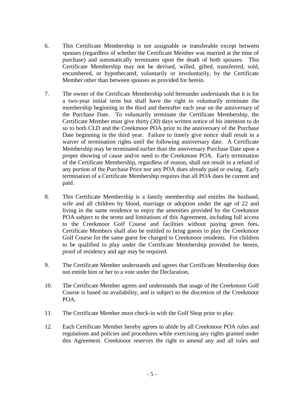- 6. This Certificate Membership is not assignable or transferable except between spouses (regardless of whether the Certificate Member was married at the time of purchase) and automatically terminates upon the death of both spouses. This Certificate Membership may not be devised, willed, gifted, transferred, sold, encumbered, or hypothecated, voluntarily or involuntarily, by the Certificate Member other than between spouses as provided for herein.
- 7. The owner of the Certificate Membership sold hereunder understands that it is for a two-year initial term but shall have the right to voluntarily terminate the membership beginning in the third and thereafter each year on the anniversary of the Purchase Date. To voluntarily terminate the Certificate Membership, the Certificate Member must give thirty (30) days written notice of his intention to do so to both CLD and the Creekmoor POA prior to the anniversary of the Purchase Date beginning in the third year. Failure to timely give notice shall result in a waiver of termination rights until the following anniversary date. A Certificate Membership may be terminated earlier than the anniversary Purchase Date upon a proper showing of cause and/or need to the Creekmoor POA. Early termination of the Certificate Membership, regardless of reason, shall not result in a refund of any portion of the Purchase Price nor any POA dues already paid or owing. Early termination of a Certificate Membership requires that all POA dues be current and paid.
- 8. This Certificate Membership is a family membership and entitles the husband, wife and all children by blood, marriage or adoption under the age of 22 and living in the same residence to enjoy the amenities provided by the Creekmoor POA subject to the terms and limitations of this Agreement, including full access to the Creekmoor Golf Course and facilities without paying green fees**.**  Certificate Members shall also be entitled to bring guests to play the Creekmoor Golf Course for the same guest fee charged to Creekmoor residents. For children to be qualified to play under the Certificate Membership provided for herein, proof of residency and age may be required.
- 9. The Certificate Member understands and agrees that Certificate Membership does not entitle him or her to a vote under the Declaration.
- 10. The Certificate Member agrees and understands that usage of the Creekmoor Golf Course is based on availability, and is subject to the discretion of the Creekmoor POA.
- 11. The Certificate Member must check-in with the Golf Shop prior to play.
- 12. Each Certificate Member hereby agrees to abide by all Creekmoor POA rules and regulations and policies and procedures while exercising any rights granted under this Agreement. Creekmoor reserves the right to amend any and all rules and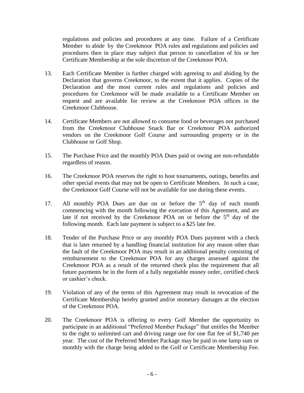regulations and policies and procedures at any time. Failure of a Certificate Member to abide by the Creekmoor POA rules and regulations and policies and procedures then in place may subject that person to cancellation of his or her Certificate Membership at the sole discretion of the Creekmoor POA.

- 13. Each Certificate Member is further charged with agreeing to and abiding by the Declaration that governs Creekmoor, to the extent that it applies. Copies of the Declaration and the most current rules and regulations and policies and procedures for Creekmoor will be made available to a Certificate Member on request and are available for review at the Creekmoor POA offices in the Creekmoor Clubhouse.
- 14. Certificate Members are not allowed to consume food or beverages not purchased from the Creekmoor Clubhouse Snack Bar or Creekmoor POA authorized vendors on the Creekmoor Golf Course and surrounding property or in the Clubhouse or Golf Shop.
- 15. The Purchase Price and the monthly POA Dues paid or owing are non-refundable regardless of reason.
- 16. The Creekmoor POA reserves the right to host tournaments, outings, benefits and other special events that may not be open to Certificate Members. In such a case, the Creekmoor Golf Course will not be available for use during these events.
- 17. All monthly POA Dues are due on or before the 5<sup>th</sup> day of each month commencing with the month following the execution of this Agreement, and are late if not received by the Creekmoor POA on or before the  $5<sup>th</sup>$  day of the following month. Each late payment is subject to a \$25 late fee.
- 18. Tender of the Purchase Price or any monthly POA Dues payment with a check that is later returned by a handling financial institution for any reason other than the fault of the Creekmoor POA may result in an additional penalty consisting of reimbursement to the Creekmoor POA for any charges assessed against the Creekmoor POA as a result of the returned check plus the requirement that all future payments be in the form of a fully negotiable money order, certified check or cashier's check.
- 19. Violation of any of the terms of this Agreement may result in revocation of the Certificate Membership hereby granted and/or monetary damages at the election of the Creekmoor POA.
- 20. The Creekmoor POA is offering to every Golf Member the opportunity to participate in an additional "Preferred Member Package" that entitles the Member to the right to unlimited cart and driving range use for one flat fee of \$1,740 per year. The cost of the Preferred Member Package may be paid in one lump sum or monthly with the charge being added to the Golf or Certificate Membership Fee.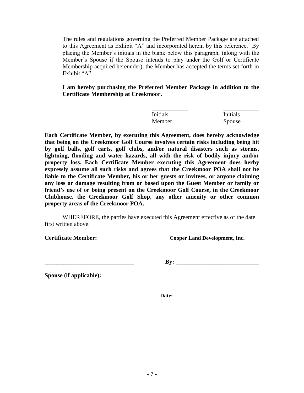The rules and regulations governing the Preferred Member Package are attached to this Agreement as Exhibit "A" and incorporated herein by this reference. By placing the Member's initials in the blank below this paragraph, (along with the Member's Spouse if the Spouse intends to play under the Golf or Certificate Membership acquired hereunder), the Member has accepted the terms set forth in Exhibit "A".

**I am hereby purchasing the Preferred Member Package in addition to the Certificate Membership at Creekmoor.**

| Initials | <b>Initials</b> |
|----------|-----------------|
| Member   | Spouse          |

**Each Certificate Member, by executing this Agreement, does hereby acknowledge that being on the Creekmoor Golf Course involves certain risks including being hit by golf balls, golf carts, golf clubs, and/or natural disasters such as storms, lightning, flooding and water hazards, all with the risk of bodily injury and/or property loss. Each Certificate Member executing this Agreement does herby expressly assume all such risks and agrees that the Creekmoor POA shall not be liable to the Certificate Member, his or her guests or invitees, or anyone claiming any loss or damage resulting from or based upon the Guest Member or family or friend's use of or being present on the Creekmoor Golf Course, in the Creekmoor Clubhouse, the Creekmoor Golf Shop, any other amenity or other common property areas of the Creekmoor POA.**

WHEREFORE, the parties have executed this Agreement effective as of the date first written above.

**Certificate Member: Cooper Land Development, Inc.**

**\_\_\_\_\_\_\_\_\_\_\_\_\_\_\_\_\_\_\_\_\_\_\_\_\_\_\_\_\_\_ By: \_\_\_\_\_\_\_\_\_\_\_\_\_\_\_\_\_\_\_\_\_\_\_\_\_\_\_\_**

**Spouse (if applicable):**

**\_\_\_\_\_\_\_\_\_\_\_\_\_\_\_\_\_\_\_\_\_\_\_\_\_\_\_\_\_\_\_\_\_ Date: \_\_\_\_\_\_\_\_\_\_\_\_\_\_\_\_\_\_\_\_\_\_\_\_\_\_\_\_\_\_\_**